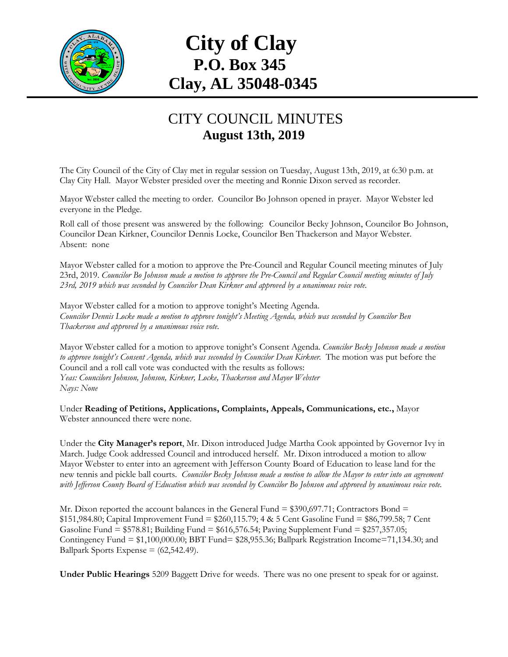

## **City of Clay P.O. Box 345 Clay, AL 35048-0345**

## CITY COUNCIL MINUTES **August 13th, 2019**

The City Council of the City of Clay met in regular session on Tuesday, August 13th, 2019, at 6:30 p.m. at Clay City Hall. Mayor Webster presided over the meeting and Ronnie Dixon served as recorder.

Mayor Webster called the meeting to order. Councilor Bo Johnson opened in prayer. Mayor Webster led everyone in the Pledge.

Roll call of those present was answered by the following: Councilor Becky Johnson, Councilor Bo Johnson, Councilor Dean Kirkner, Councilor Dennis Locke, Councilor Ben Thackerson and Mayor Webster. Absent: none

Mayor Webster called for a motion to approve the Pre-Council and Regular Council meeting minutes of July 23rd, 2019. *Councilor Bo Johnson made a motion to approve the Pre-Council and Regular Council meeting minutes of July 23rd, 2019 which was seconded by Councilor Dean Kirkner and approved by a unanimous voice vote.*

Mayor Webster called for a motion to approve tonight's Meeting Agenda. *Councilor Dennis Locke made a motion to approve tonight's Meeting Agenda, which was seconded by Councilor Ben Thackerson and approved by a unanimous voice vote.*

Mayor Webster called for a motion to approve tonight's Consent Agenda. *Councilor Becky Johnson made a motion to approve tonight's Consent Agenda, which was seconded by Councilor Dean Kirkner.* The motion was put before the Council and a roll call vote was conducted with the results as follows: *Yeas: Councilors Johnson, Johnson, Kirkner, Locke, Thackerson and Mayor Webster Nays: None*

Under **Reading of Petitions, Applications, Complaints, Appeals, Communications, etc.,** Mayor Webster announced there were none.

Under the **City Manager's report**, Mr. Dixon introduced Judge Martha Cook appointed by Governor Ivy in March. Judge Cook addressed Council and introduced herself. Mr. Dixon introduced a motion to allow Mayor Webster to enter into an agreement with Jefferson County Board of Education to lease land for the new tennis and pickle ball courts. *Councilor Becky Johnson made a motion to allow the Mayor to enter into an agreement with Jefferson County Board of Education which was seconded by Councilor Bo Johnson and approved by unanimous voice vote.*

Mr. Dixon reported the account balances in the General Fund  $= $390,697.71$ ; Contractors Bond  $=$ \$151,984.80; Capital Improvement Fund = \$260,115.79; 4 & 5 Cent Gasoline Fund = \$86,799.58; 7 Cent Gasoline Fund = \$578.81; Building Fund = \$616,576.54; Paving Supplement Fund = \$257,357.05; Contingency Fund = \$1,100,000.00; BBT Fund= \$28,955.36; Ballpark Registration Income=71,134.30; and Ballpark Sports Expense  $= (62, 542.49)$ .

**Under Public Hearings** 5209 Baggett Drive for weeds. There was no one present to speak for or against.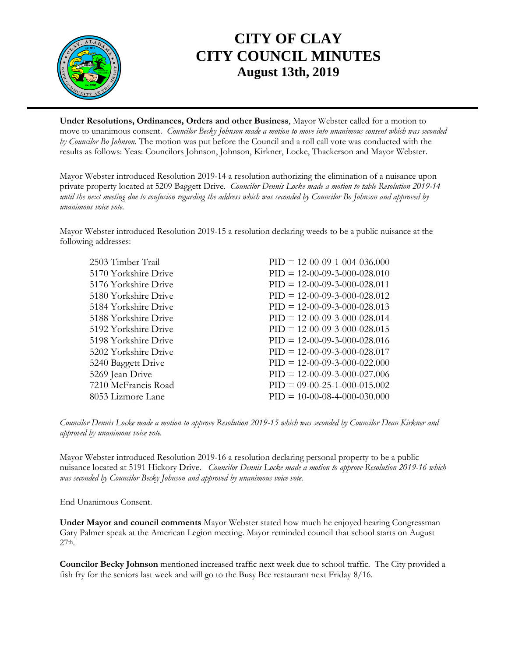

## **CITY OF CLAY CITY COUNCIL MINUTES August 13th, 2019**

**Under Resolutions, Ordinances, Orders and other Business**, Mayor Webster called for a motion to move to unanimous consent. *Councilor Becky Johnson made a motion to move into unanimous consent which was seconded by Councilor Bo Johnson*. The motion was put before the Council and a roll call vote was conducted with the results as follows: Yeas: Councilors Johnson, Johnson, Kirkner, Locke, Thackerson and Mayor Webster.

Mayor Webster introduced Resolution 2019-14 a resolution authorizing the elimination of a nuisance upon private property located at 5209 Baggett Drive. *Councilor Dennis Locke made a motion to table Resolution 2019-14 until the next meeting due to confusion regarding the address which was seconded by Councilor Bo Johnson and approved by unanimous voice vote.*

Mayor Webster introduced Resolution 2019-15 a resolution declaring weeds to be a public nuisance at the following addresses:

| 2503 Timber Trail    | $PID = 12-00-09-1-004-036.000$ |
|----------------------|--------------------------------|
| 5170 Yorkshire Drive | $PID = 12-00-09-3-000-028.010$ |
| 5176 Yorkshire Drive | $PID = 12-00-09-3-000-028.011$ |
| 5180 Yorkshire Drive | $PID = 12-00-09-3-000-028.012$ |
| 5184 Yorkshire Drive | $PID = 12-00-09-3-000-028.013$ |
| 5188 Yorkshire Drive | $PID = 12-00-09-3-000-028.014$ |
| 5192 Yorkshire Drive | $PID = 12-00-09-3-000-028.015$ |
| 5198 Yorkshire Drive | $PID = 12-00-09-3-000-028.016$ |
| 5202 Yorkshire Drive | $PID = 12-00-09-3-000-028.017$ |
| 5240 Baggett Drive   | $PID = 12-00-09-3-000-022.000$ |
| 5269 Jean Drive      | $PID = 12-00-09-3-000-027.006$ |
| 7210 McFrancis Road  | $PID = 09-00-25-1-000-015.002$ |
| 8053 Lizmore Lane    | $PID = 10-00-08-4-000-030.000$ |

*Councilor Dennis Locke made a motion to approve Resolution 2019-15 which was seconded by Councilor Dean Kirkner and approved by unanimous voice vote.*

Mayor Webster introduced Resolution 2019-16 a resolution declaring personal property to be a public nuisance located at 5191 Hickory Drive. *Councilor Dennis Locke made a motion to approve Resolution 2019-16 which was seconded by Councilor Becky Johnson and approved by unanimous voice vote.*

End Unanimous Consent.

**Under Mayor and council comments** Mayor Webster stated how much he enjoyed hearing Congressman Gary Palmer speak at the American Legion meeting. Mayor reminded council that school starts on August 27th.

**Councilor Becky Johnson** mentioned increased traffic next week due to school traffic. The City provided a fish fry for the seniors last week and will go to the Busy Bee restaurant next Friday 8/16.